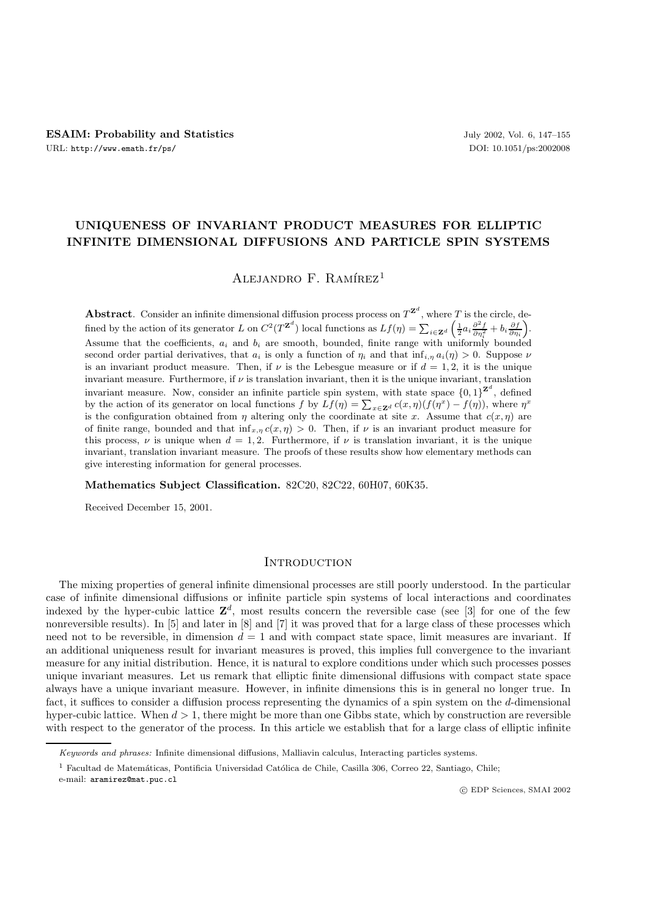# **UNIQUENESS OF INVARIANT PRODUCT MEASURES FOR ELLIPTIC INFINITE DIMENSIONAL DIFFUSIONS AND PARTICLE SPIN SYSTEMS**

ALEJANDRO F. RAMÍREZ<sup>1</sup>

**Abstract**. Consider an infinite dimensional diffusion process process on  $T^{Z^d}$ , where T is the circle, defined by the action of its generator L on  $C^2(T^{\mathbf{Z}^d})$  local functions as  $Lf(\eta) = \sum_{i \in \mathbf{Z}^d} \left( \frac{1}{2} a_i \frac{\partial^2 f}{\partial \eta_i^2} + b_i \frac{\partial f}{\partial \eta_i} \right)$ . Assume that the coefficients,  $a_i$  and  $b_i$  are smooth, bounded, finite range with uniformly bounded second order partial derivatives, that  $a_i$  is only a function of  $\eta_i$  and that  $\inf_{i,n} a_i(\eta) > 0$ . Suppose  $\nu$ is an invariant product measure. Then, if  $\nu$  is the Lebesgue measure or if  $d = 1, 2$ , it is the unique invariant measure. Furthermore, if  $\nu$  is translation invariant, then it is the unique invariant, translation invariant measure. Now, consider an infinite particle spin system, with state space  $\{0, 1\}^{\mathbf{Z}^d}$ , defined by the action of its generator on local functions f by  $Lf(\eta) = \sum_{x \in \mathbf{Z}^d} c(x, \eta)(f(\eta^x) - f(\eta))$ , where  $\eta^x$ is the configuration obtained from  $\eta$  altering only the coordinate at site x. Assume that  $c(x, \eta)$  are of finite range, bounded and that  $\inf_{x,\eta} c(x,\eta) > 0$ . Then, if  $\nu$  is an invariant product measure for this process,  $\nu$  is unique when  $d = 1, 2$ . Furthermore, if  $\nu$  is translation invariant, it is the unique invariant, translation invariant measure. The proofs of these results show how elementary methods can give interesting information for general processes.

**Mathematics Subject Classification.** 82C20, 82C22, 60H07, 60K35.

Received December 15, 2001.

# **INTRODUCTION**

The mixing properties of general infinite dimensional processes are still poorly understood. In the particular case of infinite dimensional diffusions or infinite particle spin systems of local interactions and coordinates indexed by the hyper-cubic lattice  $\mathbf{Z}^d$ , most results concern the reversible case (see [3] for one of the few nonreversible results). In [5] and later in [8] and [7] it was proved that for a large class of these processes which need not to be reversible, in dimension  $d = 1$  and with compact state space, limit measures are invariant. If an additional uniqueness result for invariant measures is proved, this implies full convergence to the invariant measure for any initial distribution. Hence, it is natural to explore conditions under which such processes posses unique invariant measures. Let us remark that elliptic finite dimensional diffusions with compact state space always have a unique invariant measure. However, in infinite dimensions this is in general no longer true. In fact, it suffices to consider a diffusion process representing the dynamics of a spin system on the d-dimensional hyper-cubic lattice. When  $d > 1$ , there might be more than one Gibbs state, which by construction are reversible with respect to the generator of the process. In this article we establish that for a large class of elliptic infinite

e-mail: aramirez@mat.puc.cl

c EDP Sciences, SMAI 2002

*Keywords and phrases:* Infinite dimensional diffusions, Malliavin calculus, Interacting particles systems.

 $1$  Facultad de Matemáticas, Pontificia Universidad Católica de Chile, Casilla 306, Correo 22, Santiago, Chile;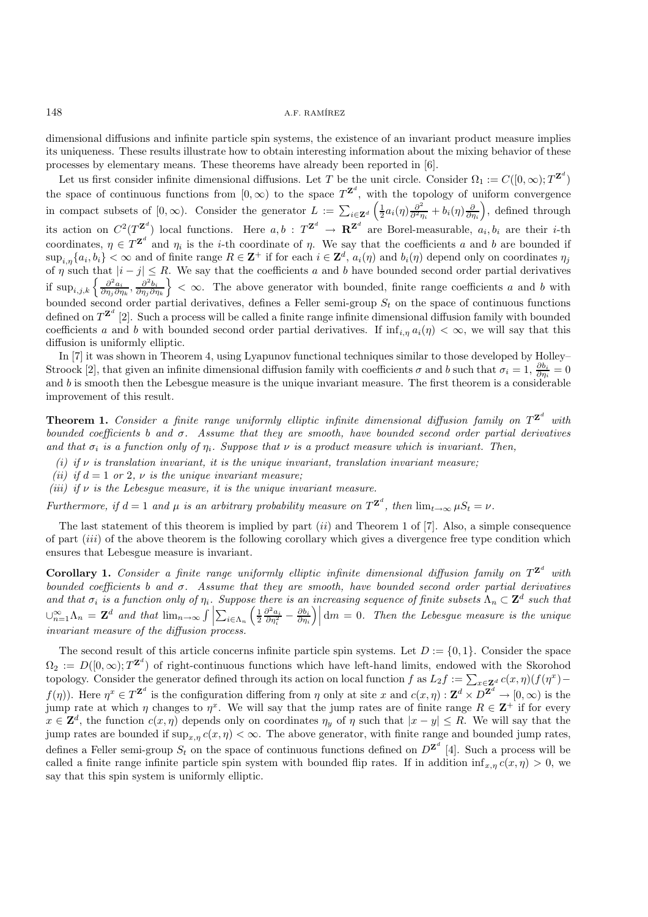148 A.F. RAMÍREZ

dimensional diffusions and infinite particle spin systems, the existence of an invariant product measure implies its uniqueness. These results illustrate how to obtain interesting information about the mixing behavior of these processes by elementary means. These theorems have already been reported in [6].

Let us first consider infinite dimensional diffusions. Let T be the unit circle. Consider  $\Omega_1 := C([0,\infty); T^{\mathbf{Z}^d})$ the space of continuous functions from  $[0,\infty)$  to the space  $T^{\mathbf{Z}^d}$ , with the topology of uniform convergence in compact subsets of  $[0, \infty)$ . Consider the generator  $L := \sum_{i \in \mathbf{Z}^d} \left( \frac{1}{2} a_i(\eta) \frac{\partial^2}{\partial \eta_i} + b_i(\eta) \frac{\partial}{\partial \eta_i} \right)$ , defined through its action on  $C^2(T^{\mathbf{Z}^d})$  local functions. Here  $a, b : T^{\mathbf{Z}^d} \to \mathbf{R}^{\mathbf{Z}^d}$  are Borel-measurable,  $a_i, b_i$  are their *i*-th coordinates,  $\eta \in T^{\mathbf{Z}^d}$  and  $\eta_i$  is the *i*-th coordinate of  $\eta$ . We say that the coefficients a and b are bounded if  $\sup_{i,n}\{a_i, b_i\} < \infty$  and of finite range  $R \in \mathbb{Z}^+$  if for each  $i \in \mathbb{Z}^d$ ,  $a_i(\eta)$  and  $b_i(\eta)$  depend only on coordinates  $\eta_i$ of  $\eta$  such that  $|i - j| \leq R$ . We say that the coefficients a and b have bounded second order partial derivatives if  $\sup_{i,j,k} \left\{ \frac{\partial^2 a_i}{\partial \eta_i \partial \eta_k}, \frac{\partial^2 b_i}{\partial \eta_i \partial \eta_k} \right\} < \infty$ . The above generator with bounded, finite range coefficients a and b with bounded second order partial derivatives, defines a Feller semi-group  $S_t$  on the space of continuous functions defined on  $T^{Z^d}$  [2]. Such a process will be called a finite range infinite dimensional diffusion family with bounded coefficients a and b with bounded second order partial derivatives. If  $\inf_{i,n} a_i(\eta) < \infty$ , we will say that this diffusion is uniformly elliptic.

In [7] it was shown in Theorem 4, using Lyapunov functional techniques similar to those developed by Holley– Stroock [2], that given an infinite dimensional diffusion family with coefficients  $\sigma$  and b such that  $\sigma_i = 1$ ,  $\frac{\partial b_i}{\partial \eta_i} = 0$ and b is smooth then the Lebesgue measure is the unique invariant measure. The first theorem is a considerable improvement of this result.

**Theorem 1.** *Consider a finite range uniformly elliptic infinite dimensional diffusion family on*  $T^{\mathbf{Z}^d}$  with *bounded coefficients* b *and* σ*. Assume that they are smooth, have bounded second order partial derivatives* and that  $\sigma_i$  is a function only of  $\eta_i$ . Suppose that  $\nu$  *is a product measure which is invariant. Then,* 

- *(i) if* ν *is translation invariant, it is the unique invariant, translation invariant measure;*
- *(ii)* if  $d = 1$  or 2,  $\nu$  is the unique invariant measure;
- *(iii) if*  $\nu$  *is the Lebesque measure, it is the unique invariant measure.*

*Furthermore, if*  $d = 1$  *and*  $\mu$  *is an arbitrary probability measure on*  $T^{\mathbf{Z}^d}$ *, then*  $\lim_{t\to\infty} \mu S_t = \nu$ *.* 

The last statement of this theorem is implied by part  $(ii)$  and Theorem 1 of [7]. Also, a simple consequence of part (iii) of the above theorem is the following corollary which gives a divergence free type condition which ensures that Lebesgue measure is invariant.

**Corollary 1.** *Consider a finite range uniformly elliptic infinite dimensional diffusion family on*  $T^{\mathbf{Z}^d}$  with *bounded coefficients* b *and* σ*. Assume that they are smooth, have bounded second order partial derivatives* and that  $\sigma_i$  is a function only of  $\eta_i$ . Suppose there is an increasing sequence of finite subsets  $\Lambda_n \subset \mathbf{Z}^d$  such that  $\bigcup_{n=1}^{\infty} \Lambda_n = \mathbf{Z}^d$  and that  $\lim_{n \to \infty} \int \left| \sum_{i \in \Lambda_n} \left( \frac{1}{2} \frac{\partial^2 a_i}{\partial \eta_i^2} - \frac{\partial b_i}{\partial \eta_i} \right) \right|$ dm = 0*. Then the Lebesgue measure is the unique invariant measure of the diffusion process.*

The second result of this article concerns infinite particle spin systems. Let  $D := \{0, 1\}$ . Consider the space  $\Omega_2 := D([0,\infty); T^{\mathbf{Z}^d})$  of right-continuous functions which have left-hand limits, endowed with the Skorohod topology. Consider the generator defined through its action on local function f as  $L_2f := \sum_{x \in \mathbf{Z}^d} c(x, \eta)(f(\eta^x)$  $f(\eta)$ ). Here  $\eta^x \in T^{\mathbf{Z}^d}$  is the configuration differing from  $\eta$  only at site x and  $c(x, \eta) : \mathbf{Z}^d \times D^{\mathbf{Z}^d} \to [0, \infty)$  is the jump rate at which  $\eta$  changes to  $\eta^x$ . We will say that the jump rates are of finite range  $R \in \mathbb{Z}^+$  if for every  $x \in \mathbf{Z}^d$ , the function  $c(x, \eta)$  depends only on coordinates  $\eta_y$  of  $\eta$  such that  $|x - y| \leq R$ . We will say that the jump rates are bounded if  $\sup_{x,\eta} c(x,\eta) < \infty$ . The above generator, with finite range and bounded jump rates, defines a Feller semi-group  $S_t$  on the space of continuous functions defined on  $D^{Z^d}$  [4]. Such a process will be called a finite range infinite particle spin system with bounded flip rates. If in addition  $\inf_{x,n} c(x, \eta) > 0$ , we say that this spin system is uniformly elliptic.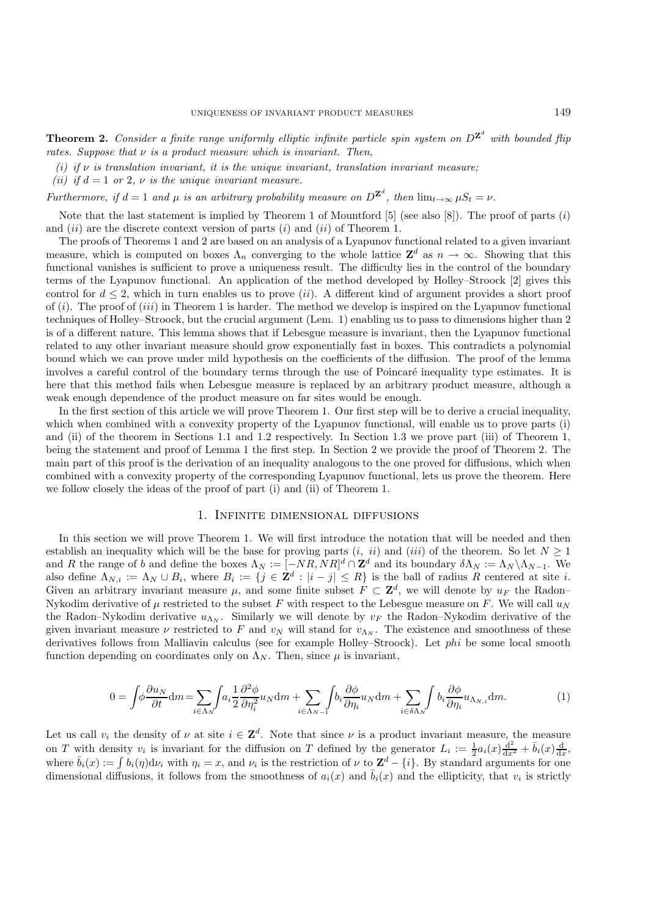**Theorem 2.** *Consider a finite range uniformly elliptic infinite particle spin system on*  $D^{\mathbf{Z}^d}$  with bounded flip *rates. Suppose that* ν *is a product measure which is invariant. Then,*

- *(i) if* ν *is translation invariant, it is the unique invariant, translation invariant measure;*
- *(ii) if*  $d = 1$  *or* 2*,*  $\nu$  *is the unique invariant measure.*

*Furthermore, if*  $d = 1$  *and*  $\mu$  *is an arbitrary probability measure on*  $D^{\mathbf{Z}^d}$ *, then*  $\lim_{t\to\infty} \mu S_t = \nu$ *.* 

Note that the last statement is implied by Theorem 1 of Mountford  $[5]$  (see also  $[8]$ ). The proof of parts  $(i)$ and  $(ii)$  are the discrete context version of parts  $(i)$  and  $(ii)$  of Theorem 1.

The proofs of Theorems 1 and 2 are based on an analysis of a Lyapunov functional related to a given invariant measure, which is computed on boxes  $\Lambda_n$  converging to the whole lattice  $\mathbf{Z}^d$  as  $n \to \infty$ . Showing that this functional vanishes is sufficient to prove a uniqueness result. The difficulty lies in the control of the boundary terms of the Lyapunov functional. An application of the method developed by Holley–Stroock [2] gives this control for  $d \leq 2$ , which in turn enables us to prove *(ii)*. A different kind of argument provides a short proof of  $(i)$ . The proof of  $(iii)$  in Theorem 1 is harder. The method we develop is inspired on the Lyapunov functional techniques of Holley–Stroock, but the crucial argument (Lem. 1) enabling us to pass to dimensions higher than 2 is of a different nature. This lemma shows that if Lebesgue measure is invariant, then the Lyapunov functional related to any other invariant measure should grow exponentially fast in boxes. This contradicts a polynomial bound which we can prove under mild hypothesis on the coefficients of the diffusion. The proof of the lemma involves a careful control of the boundary terms through the use of Poincaré inequality type estimates. It is here that this method fails when Lebesgue measure is replaced by an arbitrary product measure, although a weak enough dependence of the product measure on far sites would be enough.

In the first section of this article we will prove Theorem 1. Our first step will be to derive a crucial inequality, which when combined with a convexity property of the Lyapunov functional, will enable us to prove parts (i) and (ii) of the theorem in Sections 1.1 and 1.2 respectively. In Section 1.3 we prove part (iii) of Theorem 1, being the statement and proof of Lemma 1 the first step. In Section 2 we provide the proof of Theorem 2. The main part of this proof is the derivation of an inequality analogous to the one proved for diffusions, which when combined with a convexity property of the corresponding Lyapunov functional, lets us prove the theorem. Here we follow closely the ideas of the proof of part (i) and (ii) of Theorem 1.

# 1. Infinite dimensional diffusions

In this section we will prove Theorem 1. We will first introduce the notation that will be needed and then establish an inequality which will be the base for proving parts  $(i, ii)$  and  $(iii)$  of the theorem. So let  $N \geq 1$ and R the range of b and define the boxes  $\Lambda_N := [-NR, NR]^d \cap \mathbb{Z}^d$  and its boundary  $\delta \Lambda_N := \Lambda_N \backslash \Lambda_{N-1}$ . We also define  $\Lambda_{N,i} := \Lambda_N \cup B_i$ , where  $B_i := \{j \in \mathbb{Z}^d : |i - j| \leq R\}$  is the ball of radius R centered at site i. Given an arbitrary invariant measure  $\mu$ , and some finite subset  $F \subset \mathbf{Z}^d$ , we will denote by  $u_F$  the Radon– Nykodim derivative of  $\mu$  restricted to the subset F with respect to the Lebesgue measure on F. We will call  $u_N$ the Radon–Nykodim derivative  $u_{\Lambda_N}$ . Similarly we will denote by  $v_F$  the Radon–Nykodim derivative of the given invariant measure  $\nu$  restricted to F and  $v_N$  will stand for  $v_{\Lambda_N}$ . The existence and smoothness of these derivatives follows from Malliavin calculus (see for example Holley–Stroock). Let phi be some local smooth function depending on coordinates only on  $\Lambda_N$ . Then, since  $\mu$  is invariant,

$$
0 = \int \phi \frac{\partial u_N}{\partial t} dm = \sum_{i \in \Lambda_N} \int a_i \frac{1}{2} \frac{\partial^2 \phi}{\partial \eta_i^2} u_N dm + \sum_{i \in \Lambda_N - 1} \int b_i \frac{\partial \phi}{\partial \eta_i} u_N dm + \sum_{i \in \delta \Lambda_N} \int b_i \frac{\partial \phi}{\partial \eta_i} u_{\Lambda_N, i} dm.
$$
 (1)

Let us call  $v_i$  the density of  $\nu$  at site  $i \in \mathbf{Z}^d$ . Note that since  $\nu$  is a product invariant measure, the measure on T with density  $v_i$  is invariant for the diffusion on T defined by the generator  $L_i := \frac{1}{2} a_i(x) \frac{d^2}{dx^2} + \bar{b}_i(x) \frac{d}{dx}$ , where  $\bar{b}_i(x) := \int b_i(\eta) d\nu_i$  with  $\eta_i = x$ , and  $\nu_i$  is the restriction of  $\nu$  to  $\mathbf{Z}^d - \{i\}$ . By standard arguments for one dimensional diffusions, it follows from the smoothness of  $a_i(x)$  and  $\overline{b}_i(x)$  and the ellipticity, that  $v_i$  is strictly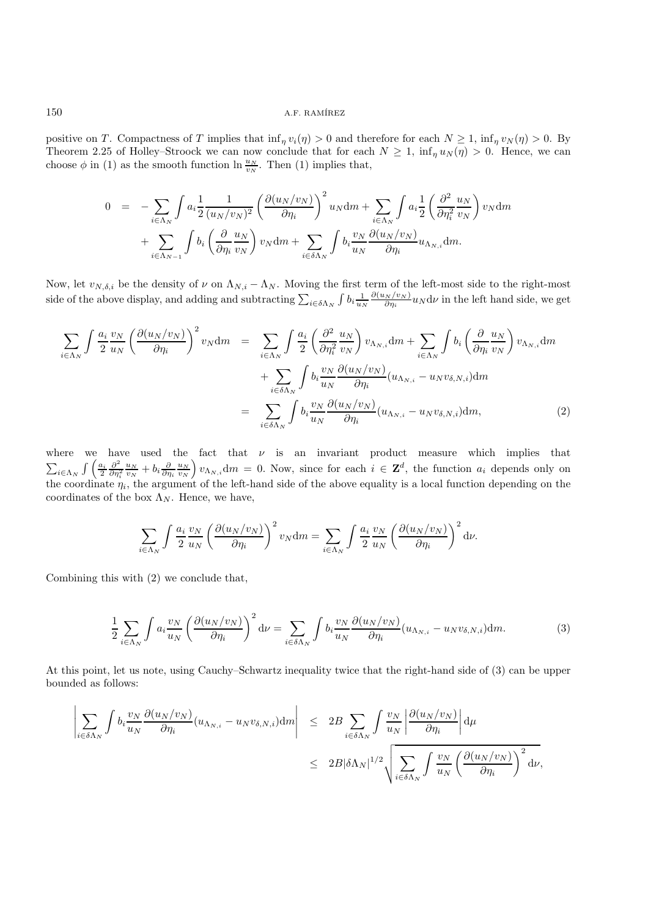positive on T. Compactness of T implies that  $\inf_{\eta} v_i(\eta) > 0$  and therefore for each  $N \ge 1$ ,  $\inf_{\eta} v_N(\eta) > 0$ . By Theorem 2.25 of Holley–Stroock we can now conclude that for each  $N \geq 1$ ,  $\inf_{\eta} u_N(\eta) > 0$ . Hence, we can choose  $\phi$  in (1) as the smooth function  $\ln \frac{u_N}{v_N}$ . Then (1) implies that,

$$
0 = -\sum_{i \in \Lambda_N} \int a_i \frac{1}{2} \frac{1}{(u_N/v_N)^2} \left(\frac{\partial (u_N/v_N)}{\partial \eta_i}\right)^2 u_N dm + \sum_{i \in \Lambda_N} \int a_i \frac{1}{2} \left(\frac{\partial^2}{\partial \eta_i^2} \frac{u_N}{v_N}\right) v_N dm + \sum_{i \in \Lambda_{N-1}} \int b_i \left(\frac{\partial}{\partial \eta_i} \frac{u_N}{v_N}\right) v_N dm + \sum_{i \in \delta_{\Lambda_N}} \int b_i \frac{v_N}{u_N} \frac{\partial (u_N/v_N)}{\partial \eta_i} u_{\Lambda_{N,i}} dm.
$$

Now, let  $v_{N,\delta,i}$  be the density of  $\nu$  on  $\Lambda_{N,i} - \Lambda_N$ . Moving the first term of the left-most side to the right-most side of the above display, and adding and subtracting  $\sum_{i \in \delta \Lambda_N} \int b_i \frac{1}{u_N}$  $\frac{\partial(u_N/v_N)}{\partial \eta_i} u_N \, \mathrm{d}\nu$  in the left hand side, we get

$$
\sum_{i \in \Lambda_N} \int \frac{a_i}{2} \frac{v_N}{u_N} \left( \frac{\partial (u_N/v_N)}{\partial \eta_i} \right)^2 v_N dm = \sum_{i \in \Lambda_N} \int \frac{a_i}{2} \left( \frac{\partial^2}{\partial \eta_i^2} \frac{u_N}{v_N} \right) v_{\Lambda_{N,i}} dm + \sum_{i \in \Lambda_N} \int b_i \left( \frac{\partial}{\partial \eta_i} \frac{u_N}{v_N} \right) v_{\Lambda_{N,i}} dm + \sum_{i \in \delta \Lambda_N} \int b_i \frac{v_N}{u_N} \frac{\partial (u_N/v_N)}{\partial \eta_i} (u_{\Lambda_{N,i}} - u_N v_{\delta,N,i}) dm
$$
\n
$$
= \sum_{i \in \delta \Lambda_N} \int b_i \frac{v_N}{u_N} \frac{\partial (u_N/v_N)}{\partial \eta_i} (u_{\Lambda_{N,i}} - u_N v_{\delta,N,i}) dm, \tag{2}
$$

where we have used the fact that  $\nu$  is an invariant product measure which implies that  $\sum_{i\in\Lambda_N}\int\left(\frac{a_i}{2}\frac{\partial^2}{\partial\eta_i^2}\right)$  $\frac{u_N}{v_N} + b_i \frac{\partial}{\partial n_i} \frac{u_N}{v_N}$   $v_{\Lambda_{N,i}}$  dm = 0. Now, since for each  $i \in \mathbf{Z}^d$ , the function  $a_i$  depends only on the coordinate  $\eta_i$ , the argument of the left-hand side of the above equality is a local function depending on the coordinates of the box  $\Lambda_N$ . Hence, we have,

$$
\sum_{i \in \Lambda_N} \int \frac{a_i}{2} \frac{v_N}{u_N} \left( \frac{\partial (u_N/v_N)}{\partial \eta_i} \right)^2 v_N \mathrm{d}m = \sum_{i \in \Lambda_N} \int \frac{a_i}{2} \frac{v_N}{u_N} \left( \frac{\partial (u_N/v_N)}{\partial \eta_i} \right)^2 \mathrm{d}\nu.
$$

Combining this with (2) we conclude that,

$$
\frac{1}{2} \sum_{i \in \Lambda_N} \int a_i \frac{v_N}{u_N} \left( \frac{\partial (u_N/v_N)}{\partial \eta_i} \right)^2 d\nu = \sum_{i \in \delta \Lambda_N} \int b_i \frac{v_N}{u_N} \frac{\partial (u_N/v_N)}{\partial \eta_i} (u_{\Lambda_{N,i}} - u_N v_{\delta,N,i}) dm. \tag{3}
$$

At this point, let us note, using Cauchy–Schwartz inequality twice that the right-hand side of (3) can be upper bounded as follows:

$$
\left| \sum_{i \in \delta \Lambda_N} \int b_i \frac{v_N}{u_N} \frac{\partial (u_N/v_N)}{\partial \eta_i} (u_{\Lambda_{N,i}} - u_N v_{\delta, N,i}) dm \right| \leq 2B \sum_{i \in \delta \Lambda_N} \int \frac{v_N}{u_N} \left| \frac{\partial (u_N/v_N)}{\partial \eta_i} \right| d\mu
$$
  

$$
\leq 2B |\delta \Lambda_N|^{1/2} \sqrt{\sum_{i \in \delta \Lambda_N} \int \frac{v_N}{u_N} \left( \frac{\partial (u_N/v_N)}{\partial \eta_i} \right)^2} d\nu,
$$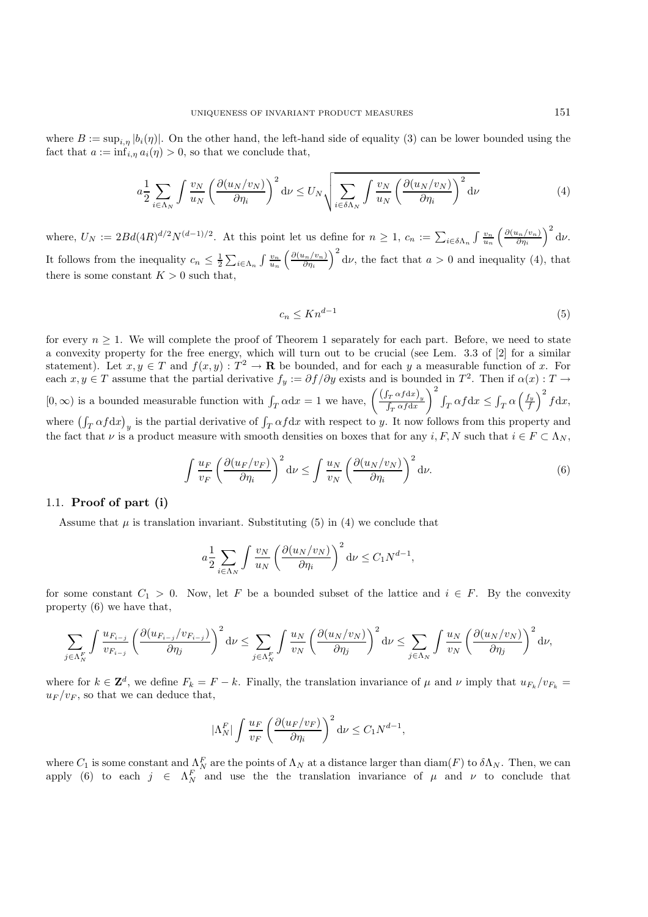where  $B := \sup_{i,\eta} |b_i(\eta)|$ . On the other hand, the left-hand side of equality (3) can be lower bounded using the fact that  $a := \inf_{i,\eta} a_i(\eta) > 0$ , so that we conclude that,

$$
a\frac{1}{2}\sum_{i\in\Lambda_N}\int\frac{v_N}{u_N}\left(\frac{\partial(u_N/v_N)}{\partial\eta_i}\right)^2\mathrm{d}\nu\leq U_N\sqrt{\sum_{i\in\delta\Lambda_N}\int\frac{v_N}{u_N}\left(\frac{\partial(u_N/v_N)}{\partial\eta_i}\right)^2\mathrm{d}\nu}\tag{4}
$$

where,  $U_N := 2Bd(4R)^{d/2}N^{(d-1)/2}$ . At this point let us define for  $n \geq 1$ ,  $c_n := \sum_{i \in \delta \Lambda_n} \int \frac{v_n}{u_n} \left( \frac{\partial (u_n/v_n)}{\partial \eta_i} \right)$  $rac{\mu_n/v_n)}{\partial \eta_i}$  and  $\left(\nu.\right)$ It follows from the inequality  $c_n \leq \frac{1}{2} \sum_{i \in \Lambda_n} \int \frac{v_n}{u_n} \left( \frac{\partial (u_n/v_n)}{\partial \eta_i} \right)$  $\left(\frac{u_n/v_n}{\partial \eta_i}\right)^2$  dv, the fact that  $a > 0$  and inequality (4), that there is some constant  $K > 0$  such that.

$$
c_n \le Kn^{d-1} \tag{5}
$$

for every  $n \geq 1$ . We will complete the proof of Theorem 1 separately for each part. Before, we need to state a convexity property for the free energy, which will turn out to be crucial (see Lem. 3.3 of [2] for a similar statement). Let  $x, y \in T$  and  $f(x, y) : T^2 \to \mathbf{R}$  be bounded, and for each y a measurable function of x. For each  $x, y \in T$  assume that the partial derivative  $f_y := \partial f / \partial y$  exists and is bounded in  $T^2$ . Then if  $\alpha(x) : T \to T$  $[0, \infty)$  is a bounded measurable function with  $\int_T \alpha dx = 1$  we have,  $\left( \frac{\int_T \alpha f dx}{\int_T \alpha f dx} \right)$  $\int_{-T}^{2} \int_{T} \alpha f \, dx \leq \int_{T} \alpha \left(\frac{f_y}{f}\right)^2 f \, dx,$ where  $(\int_T \alpha f dx)_y$  is the partial derivative of  $\int_T \alpha f dx$  with respect to y. It now follows from this property and the fact that  $\nu$  is a product measure with smooth densities on boxes that for any  $i, F, N$  such that  $i \in F \subset \Lambda_N$ ,

$$
\int \frac{u_F}{v_F} \left(\frac{\partial (u_F/v_F)}{\partial \eta_i}\right)^2 d\nu \le \int \frac{u_N}{v_N} \left(\frac{\partial (u_N/v_N)}{\partial \eta_i}\right)^2 d\nu.
$$
 (6)

### 1.1. **Proof of part (i)**

Assume that  $\mu$  is translation invariant. Substituting (5) in (4) we conclude that

$$
a\frac{1}{2}\sum_{i\in\Lambda_N}\int\frac{v_N}{u_N}\left(\frac{\partial(u_N/v_N)}{\partial\eta_i}\right)^2\mathrm{d}\nu\leq C_1N^{d-1},
$$

for some constant  $C_1 > 0$ . Now, let F be a bounded subset of the lattice and  $i \in F$ . By the convexity property (6) we have that,

$$
\sum_{j \in \Lambda_N^F} \int \frac{u_{F_{i-j}}}{v_{F_{i-j}}} \left(\frac{\partial (u_{F_{i-j}}/v_{F_{i-j}})}{\partial \eta_j}\right)^2 \mathrm{d} \nu \le \sum_{j \in \Lambda_N^F} \int \frac{u_N}{v_N} \left(\frac{\partial (u_N/v_N)}{\partial \eta_j}\right)^2 \mathrm{d} \nu \le \sum_{j \in \Lambda_N} \int \frac{u_N}{v_N} \left(\frac{\partial (u_N/v_N)}{\partial \eta_j}\right)^2 \mathrm{d} \nu,
$$

where for  $k \in \mathbb{Z}^d$ , we define  $F_k = F - k$ . Finally, the translation invariance of  $\mu$  and  $\nu$  imply that  $u_{F_k}/v_{F_k} =$  $u_F/v_F$ , so that we can deduce that,

$$
|\Lambda_N^F| \int \frac{u_F}{v_F} \left( \frac{\partial (u_F/v_F)}{\partial \eta_i} \right)^2 d\nu \le C_1 N^{d-1},
$$

where  $C_1$  is some constant and  $\Lambda_N^F$  are the points of  $\Lambda_N$  at a distance larger than  $\text{diam}(F)$  to  $\delta\Lambda_N$ . Then, we can apply (6) to each  $j \in \Lambda_N^F$  and use the translation invariance of  $\mu$  and  $\nu$  to conclude that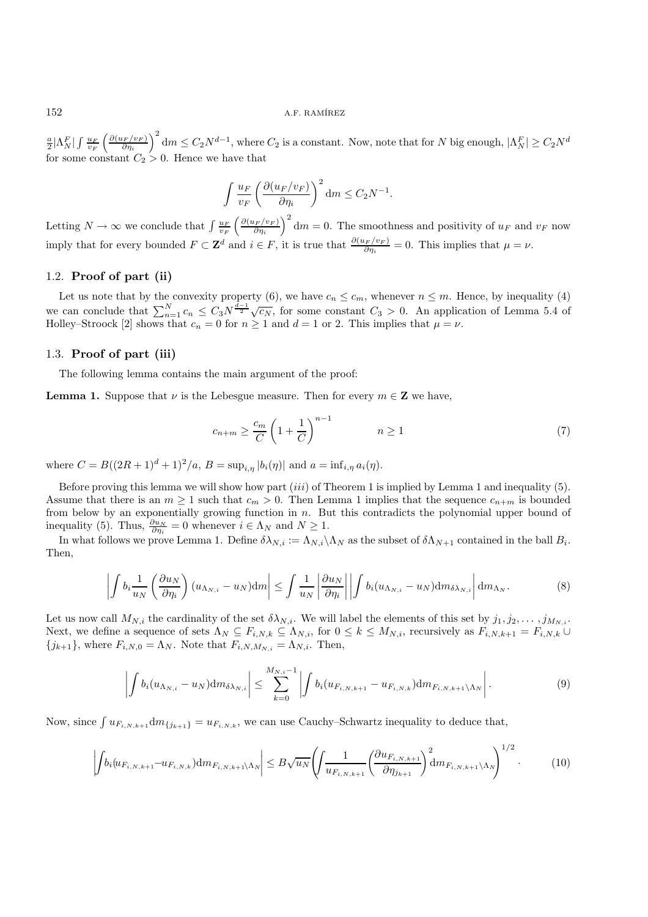### 152 **A.F. RAMÍREZ**

 $\frac{a}{2}|\Lambda_N^F|\int\frac{u_F}{v_F}\left(\frac{\partial (u_F/v_F)}{\partial \eta_i}\right)$  $\left(\frac{d_{F}/v_{F}}{d_{B}}\right)^{2}$  dm  $\leq C_{2}N^{d-1}$ , where  $C_{2}$  is a constant. Now, note that for N big enough,  $|\Lambda_{N}^{F}|\geq C_{2}N^{d-1}$ for some constant  $C_2 > 0$ . Hence we have that

$$
\int \frac{u_F}{v_F} \left( \frac{\partial (u_F/v_F)}{\partial \eta_i} \right)^2 dm \le C_2 N^{-1}.
$$

Letting  $N \to \infty$  we conclude that  $\int \frac{u_F}{v_F} \left( \frac{\partial (u_F/v_F)}{\partial \eta_i} \right)$  $\left(\frac{d_{F}/v_{F}}{d_{H}}\right)^{2}$  dm = 0. The smoothness and positivity of  $u_{F}$  and  $v_{F}$  now imply that for every bounded  $F \subset \mathbf{Z}^d$  and  $i \in F$ , it is true that  $\frac{\partial (u_F/v_F)}{\partial \eta_i} = 0$ . This implies that  $\mu = \nu$ .

## 1.2. **Proof of part (ii)**

Let us note that by the convexity property (6), we have  $c_n \leq c_m$ , whenever  $n \leq m$ . Hence, by inequality (4) we can conclude that  $\sum_{n=1}^{N} c_n \leq C_3 N^{\frac{d-1}{2}} \sqrt{c_N}$ , for some constant  $C_3 > 0$ . An application of Lemma 5.4 of Holley–Stroock [2] shows that  $c_n = 0$  for  $n \ge 1$  and  $d = 1$  or 2. This implies that  $\mu = \nu$ .

### 1.3. **Proof of part (iii)**

The following lemma contains the main argument of the proof:

**Lemma 1.** Suppose that  $\nu$  is the Lebesgue measure. Then for every  $m \in \mathbb{Z}$  we have,

$$
c_{n+m} \ge \frac{c_m}{C} \left( 1 + \frac{1}{C} \right)^{n-1} \qquad n \ge 1 \tag{7}
$$

where  $C = B((2R+1)^d+1)^2/a$ ,  $B = \sup_{i,n} |b_i(\eta)|$  and  $a = \inf_{i,n} a_i(\eta)$ .

Before proving this lemma we will show how part  $(iii)$  of Theorem 1 is implied by Lemma 1 and inequality (5). Assume that there is an  $m \ge 1$  such that  $c_m > 0$ . Then Lemma 1 implies that the sequence  $c_{n+m}$  is bounded from below by an exponentially growing function in n. But this contradicts the polynomial upper bound of inequality (5). Thus,  $\frac{\partial u_N}{\partial \eta_i} = 0$  whenever  $i \in \Lambda_N$  and  $N \geq 1$ .

In what follows we prove Lemma 1. Define  $\delta \lambda_{N,i} := \Lambda_{N,i} \setminus \Lambda_N$  as the subset of  $\delta \Lambda_{N+1}$  contained in the ball  $B_i$ . Then,

$$
\left| \int b_i \frac{1}{u_N} \left( \frac{\partial u_N}{\partial \eta_i} \right) (u_{\Lambda_{N,i}} - u_N) dm \right| \leq \int \frac{1}{u_N} \left| \frac{\partial u_N}{\partial \eta_i} \right| \left| \int b_i (u_{\Lambda_{N,i}} - u_N) dm_{\delta \lambda_{N,i}} \right| dm_{\Lambda_N}.
$$
 (8)

Let us now call  $M_{N,i}$  the cardinality of the set  $\delta \lambda_{N,i}$ . We will label the elements of this set by  $j_1, j_2, \ldots, j_{M_{N,i}}$ . Next, we define a sequence of sets  $\Lambda_N \subseteq F_{i,N,k} \subseteq \Lambda_{N,i}$ , for  $0 \leq k \leq M_{N,i}$ , recursively as  $F_{i,N,k+1} = F_{i,N,k} \cup$  ${j_{k+1}}$ , where  $F_{i,N,0} = \Lambda_N$ . Note that  $F_{i,N,M_{N,i}} = \Lambda_{N,i}$ . Then,

$$
\left| \int b_i (u_{\Lambda_{N,i}} - u_N) \mathrm{d} m_{\delta \lambda_{N,i}} \right| \leq \sum_{k=0}^{M_{N,i}-1} \left| \int b_i (u_{F_{i,N,k+1}} - u_{F_{i,N,k}}) \mathrm{d} m_{F_{i,N,k+1} \setminus \Lambda_N} \right|.
$$
 (9)

Now, since  $\int u_{F_{i,N,k+1}} dm_{\{j_{k+1}\}} = u_{F_{i,N,k}}$ , we can use Cauchy–Schwartz inequality to deduce that,

$$
\left| \int b_i (u_{F_{i,N,k+1}} - u_{F_{i,N,k}}) dm_{F_{i,N,k+1} \setminus \Lambda_N} \right| \leq B \sqrt{u_N} \left( \int \frac{1}{u_{F_{i,N,k+1}}} \left( \frac{\partial u_{F_{i,N,k+1}}}{\partial \eta_{j_{k+1}}} \right)^2 dm_{F_{i,N,k+1} \setminus \Lambda_N} \right)^{1/2} . \tag{10}
$$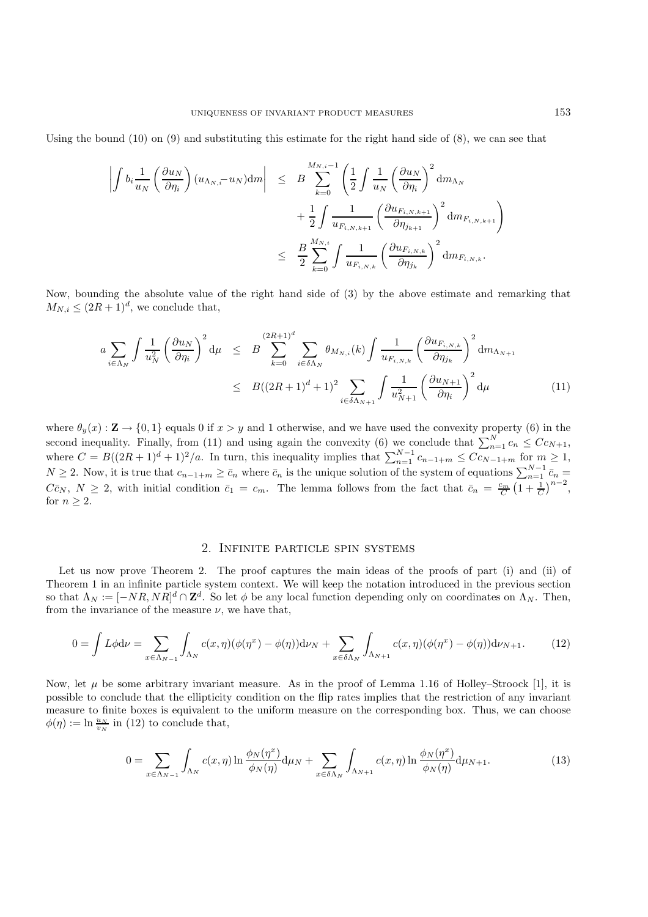Using the bound  $(10)$  on  $(9)$  and substituting this estimate for the right hand side of  $(8)$ , we can see that

$$
\begin{array}{rcl} \left| \int b_i \frac{1}{u_N} \left( \frac{\partial u_N}{\partial \eta_i} \right) (u_{\Lambda_N, \bar \imath} - u_N) {\rm d} m \right| & \leq & B \sum_{k=0}^{M_{N, \bar \imath} - 1} \left( \frac{1}{2} \int \frac{1}{u_N} \left( \frac{\partial u_N}{\partial \eta_i} \right)^2 {\rm d} m_{\Lambda_N} \right. \\ & & \left. + \frac{1}{2} \int \frac{1}{u_{F_{i, N, k+1}}} \left( \frac{\partial u_{F_{i, N, k+1}}}{\partial \eta_{j_{k+1}}} \right)^2 {\rm d} m_{F_{i, N, k+1}} \right) \\ & \leq & \frac{B}{2} \sum_{k=0}^{M_{N, \bar \imath}} \int \frac{1}{u_{F_{i, N, k}}} \left( \frac{\partial u_{F_{i, N, k}}}{\partial \eta_{j_k}} \right)^2 {\rm d} m_{F_{i, N, k}}. \end{array}
$$

Now, bounding the absolute value of the right hand side of (3) by the above estimate and remarking that  $M_{N,i} \leq (2R+1)^d$ , we conclude that,

$$
a \sum_{i \in \Lambda_N} \int \frac{1}{u_N^2} \left(\frac{\partial u_N}{\partial \eta_i}\right)^2 d\mu \leq B \sum_{k=0}^{(2R+1)^d} \sum_{i \in \delta \Lambda_N} \theta_{M_{N,i}}(k) \int \frac{1}{u_{F_{i,N,k}}} \left(\frac{\partial u_{F_{i,N,k}}}{\partial \eta_{j_k}}\right)^2 d m_{\Lambda_{N+1}} \leq B((2R+1)^d+1)^2 \sum_{i \in \delta \Lambda_{N+1}} \int \frac{1}{u_{N+1}^2} \left(\frac{\partial u_{N+1}}{\partial \eta_i}\right)^2 d\mu
$$
 (11)

where  $\theta_y(x): \mathbf{Z} \to \{0,1\}$  equals 0 if  $x > y$  and 1 otherwise, and we have used the convexity property (6) in the second inequality. Finally, from (11) and using again the convexity (6) we conclude that  $\sum_{n=1}^{N} c_n \leq C c_{N+1}$ , where  $C = B((2R+1)^d+1)^2/a$ . In turn, this inequality implies that  $\sum_{n=1}^{N-1} c_{n-1+m} \leq C c_{N-1+m}$  for  $m \geq 1$ ,  $N \geq 2$ . Now, it is true that  $c_{n-1+m} \geq \bar{c}_n$  where  $\bar{c}_n$  is the unique solution of the system of equations  $\sum_{n=1}^{N-1} \bar{c}_n =$  $C\bar{c}_N$ ,  $N \geq 2$ , with initial condition  $\bar{c}_1 = c_m$ . The lemma follows from the fact that  $\bar{c}_n = \frac{c_m}{C} \left(1 + \frac{1}{C}\right)^{n-2}$ , for  $n \geq 2$ .

## 2. Infinite particle spin systems

Let us now prove Theorem 2. The proof captures the main ideas of the proofs of part (i) and (ii) of Theorem 1 in an infinite particle system context. We will keep the notation introduced in the previous section so that  $\Lambda_N := [-NR, NR]^d \cap \mathbf{Z}^d$ . So let  $\phi$  be any local function depending only on coordinates on  $\Lambda_N$ . Then, from the invariance of the measure  $\nu$ , we have that,

$$
0 = \int L\phi \mathrm{d}\nu = \sum_{x \in \Lambda_{N-1}} \int_{\Lambda_N} c(x,\eta)(\phi(\eta^x) - \phi(\eta)) \mathrm{d}\nu_N + \sum_{x \in \delta\Lambda_N} \int_{\Lambda_{N+1}} c(x,\eta)(\phi(\eta^x) - \phi(\eta)) \mathrm{d}\nu_{N+1}.\tag{12}
$$

Now, let  $\mu$  be some arbitrary invariant measure. As in the proof of Lemma 1.16 of Holley–Stroock [1], it is possible to conclude that the ellipticity condition on the flip rates implies that the restriction of any invariant measure to finite boxes is equivalent to the uniform measure on the corresponding box. Thus, we can choose  $\phi(\eta) := \ln \frac{u_N}{v_N}$  in (12) to conclude that,

$$
0 = \sum_{x \in \Lambda_{N-1}} \int_{\Lambda_N} c(x,\eta) \ln \frac{\phi_N(\eta^x)}{\phi_N(\eta)} d\mu_N + \sum_{x \in \delta\Lambda_N} \int_{\Lambda_{N+1}} c(x,\eta) \ln \frac{\phi_N(\eta^x)}{\phi_N(\eta)} d\mu_{N+1}.
$$
 (13)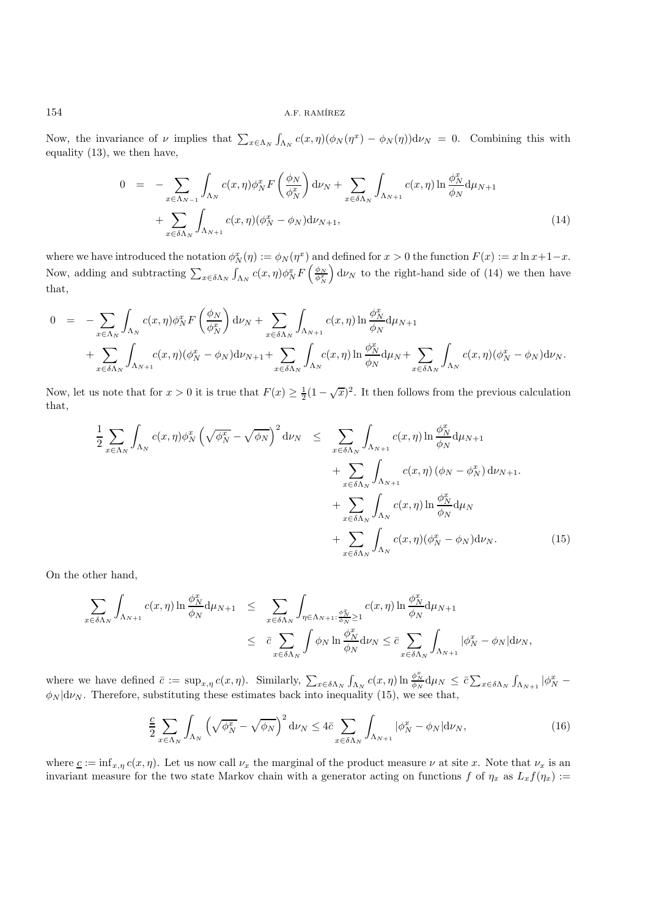### 154 **A.F. RAMÍREZ**

Now, the invariance of  $\nu$  implies that  $\sum_{x \in \Lambda_N} \int_{\Lambda_N} c(x,\eta) (\phi_N(\eta^x) - \phi_N(\eta)) d\nu_N = 0$ . Combining this with equality (13), we then have,

$$
0 = -\sum_{x \in \Lambda_{N-1}} \int_{\Lambda_N} c(x,\eta) \phi_N^x F\left(\frac{\phi_N}{\phi_N^x}\right) d\nu_N + \sum_{x \in \delta\Lambda_N} \int_{\Lambda_{N+1}} c(x,\eta) \ln \frac{\phi_N^x}{\phi_N} d\mu_{N+1} + \sum_{x \in \delta\Lambda_N} \int_{\Lambda_{N+1}} c(x,\eta) (\phi_N^x - \phi_N) d\nu_{N+1},
$$
\n(14)

where we have introduced the notation  $\phi_N^x(\eta) := \phi_N(\eta^x)$  and defined for  $x > 0$  the function  $F(x) := x \ln x + 1 - x$ . Now, adding and subtracting  $\sum_{x \in \delta \Lambda_N} \int_{\Lambda_N} c(x, \eta) \phi_N^x F\left(\frac{\phi_N}{\phi_N^x}\right) d\nu_N$  to the right-hand side of (14) we then have that,

$$
0 = -\sum_{x \in \Lambda_N} \int_{\Lambda_N} c(x, \eta) \phi_N^x F\left(\frac{\phi_N}{\phi_N^x}\right) d\nu_N + \sum_{x \in \delta\Lambda_N} \int_{\Lambda_{N+1}} c(x, \eta) \ln \frac{\phi_N^x}{\phi_N} d\mu_{N+1} + \sum_{x \in \delta\Lambda_N} \int_{\Lambda_{N+1}} c(x, \eta) (\phi_N^x - \phi_N) d\nu_{N+1} + \sum_{x \in \delta\Lambda_N} \int_{\Lambda_N} c(x, \eta) \ln \frac{\phi_N^x}{\phi_N} d\mu_N + \sum_{x \in \delta\Lambda_N} \int_{\Lambda_N} c(x, \eta) (\phi_N^x - \phi_N) d\nu_N.
$$

Now, let us note that for  $x > 0$  it is true that  $F(x) \geq \frac{1}{2}(1 - \sqrt{x})^2$ . It then follows from the previous calculation that,

$$
\frac{1}{2} \sum_{x \in \Lambda_N} \int_{\Lambda_N} c(x, \eta) \phi_N^x \left( \sqrt{\phi_N^x} - \sqrt{\phi_N} \right)^2 d\nu_N \leq \sum_{x \in \delta \Lambda_N} \int_{\Lambda_{N+1}} c(x, \eta) \ln \frac{\phi_N^x}{\phi_N} d\mu_{N+1} + \sum_{x \in \delta \Lambda_N} \int_{\Lambda_{N+1}} c(x, \eta) \left( \phi_N - \phi_N^x \right) d\nu_{N+1} + \sum_{x \in \delta \Lambda_N} \int_{\Lambda_N} c(x, \eta) \ln \frac{\phi_N^x}{\phi_N} d\mu_N + \sum_{x \in \delta \Lambda_N} \int_{\Lambda_N} c(x, \eta) \left( \phi_N^x - \phi_N \right) d\nu_N.
$$
\n(15)

On the other hand,

$$
\sum_{x \in \delta \Lambda_N} \int_{\Lambda_{N+1}} c(x, \eta) \ln \frac{\phi_N^x}{\phi_N} d\mu_{N+1} \leq \sum_{x \in \delta \Lambda_N} \int_{\eta \in \Lambda_{N+1}} \frac{c(x, \eta)}{\phi_N^x} \ln \frac{\phi_N^x}{\phi_N} d\mu_{N+1} \leq \bar{c} \sum_{x \in \delta \Lambda_N} \int_{\phi_N} \phi_N \ln \frac{\phi_N^x}{\phi_N} d\nu_N \leq \bar{c} \sum_{x \in \delta \Lambda_N} \int_{\Lambda_{N+1}} |\phi_N^x - \phi_N| d\nu_N,
$$

where we have defined  $\bar{c} := \sup_{x,\eta} c(x,\eta)$ . Similarly,  $\sum_{x \in \delta \Lambda_N} \int_{\Lambda_N} c(x,\eta) \ln \frac{\phi_N^x}{\phi_N} d\mu_N \leq \bar{c} \sum_{x \in \delta \Lambda_N} \int_{\Lambda_{N+1}} |\phi_N^x - \phi_N|^2$  $\phi_N | d\nu_N$ . Therefore, substituting these estimates back into inequality (15), we see that,

$$
\frac{c}{2} \sum_{x \in \Lambda_N} \int_{\Lambda_N} \left( \sqrt{\phi_N^x} - \sqrt{\phi_N} \right)^2 d\nu_N \le 4\bar{c} \sum_{x \in \delta\Lambda_N} \int_{\Lambda_{N+1}} |\phi_N^x - \phi_N| d\nu_N, \tag{16}
$$

where  $c := \inf_{x,\eta} c(x, \eta)$ . Let us now call  $\nu_x$  the marginal of the product measure  $\nu$  at site x. Note that  $\nu_x$  is an invariant measure for the two state Markov chain with a generator acting on functions f of  $\eta_x$  as  $L_x f(\eta_x) :=$